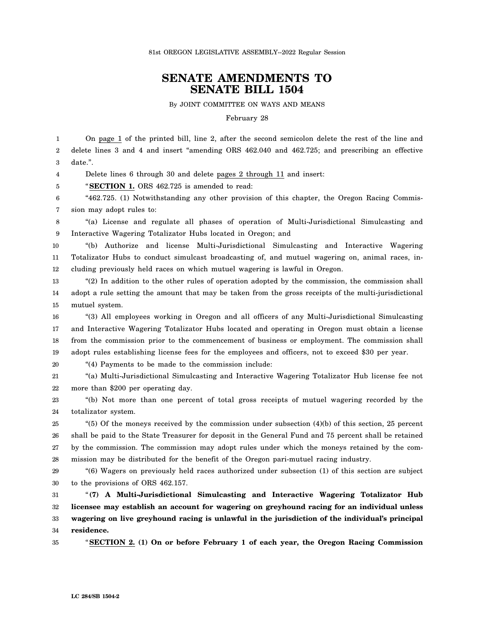## **SENATE AMENDMENTS TO SENATE BILL 1504**

By JOINT COMMITTEE ON WAYS AND MEANS

February 28

1 2 3 On page 1 of the printed bill, line 2, after the second semicolon delete the rest of the line and delete lines 3 and 4 and insert "amending ORS 462.040 and 462.725; and prescribing an effective date.".

4 Delete lines 6 through 30 and delete pages 2 through 11 and insert:

5 "**SECTION 1.** ORS 462.725 is amended to read:

6 7 "462.725. (1) Notwithstanding any other provision of this chapter, the Oregon Racing Commission may adopt rules to:

8 9 "(a) License and regulate all phases of operation of Multi-Jurisdictional Simulcasting and Interactive Wagering Totalizator Hubs located in Oregon; and

10 11 12 "(b) Authorize and license Multi-Jurisdictional Simulcasting and Interactive Wagering Totalizator Hubs to conduct simulcast broadcasting of, and mutuel wagering on, animal races, including previously held races on which mutuel wagering is lawful in Oregon.

13 14 15 "(2) In addition to the other rules of operation adopted by the commission, the commission shall adopt a rule setting the amount that may be taken from the gross receipts of the multi-jurisdictional mutuel system.

16 17 18 19 "(3) All employees working in Oregon and all officers of any Multi-Jurisdictional Simulcasting and Interactive Wagering Totalizator Hubs located and operating in Oregon must obtain a license from the commission prior to the commencement of business or employment. The commission shall adopt rules establishing license fees for the employees and officers, not to exceed \$30 per year.

20

21 22 "(a) Multi-Jurisdictional Simulcasting and Interactive Wagering Totalizator Hub license fee not more than \$200 per operating day.

23 "(b) Not more than one percent of total gross receipts of mutuel wagering recorded by the

"(4) Payments to be made to the commission include:

24 totalizator system.

25 26 27 28 "(5) Of the moneys received by the commission under subsection (4)(b) of this section, 25 percent shall be paid to the State Treasurer for deposit in the General Fund and 75 percent shall be retained by the commission. The commission may adopt rules under which the moneys retained by the commission may be distributed for the benefit of the Oregon pari-mutuel racing industry.

29 30 "(6) Wagers on previously held races authorized under subsection (1) of this section are subject to the provisions of ORS 462.157.

31 32 33 34 "**(7) A Multi-Jurisdictional Simulcasting and Interactive Wagering Totalizator Hub licensee may establish an account for wagering on greyhound racing for an individual unless wagering on live greyhound racing is unlawful in the jurisdiction of the individual's principal residence.**

35

"**SECTION 2. (1) On or before February 1 of each year, the Oregon Racing Commission**